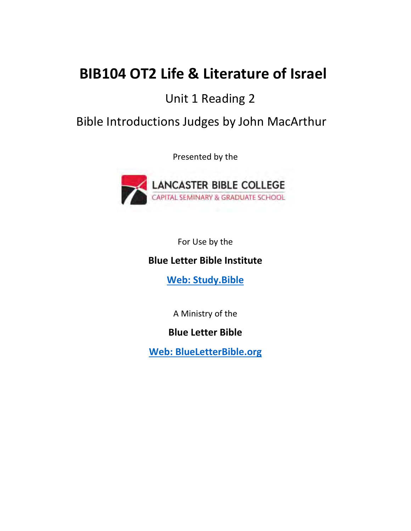# **BIB104 OT2 Life & Literature of Israel**

## Unit 1 Reading 2

### Bible Introductions Judges by John MacArthur

Presented by the



For Use by the

### **Blue Letter Bible Institute**

**[Web: Study.Bible](https://study.bible/)**

A Ministry of the

**Blue Letter Bible**

**[Web: BlueLetterBible.org](https://www.blueletterbible.org/)**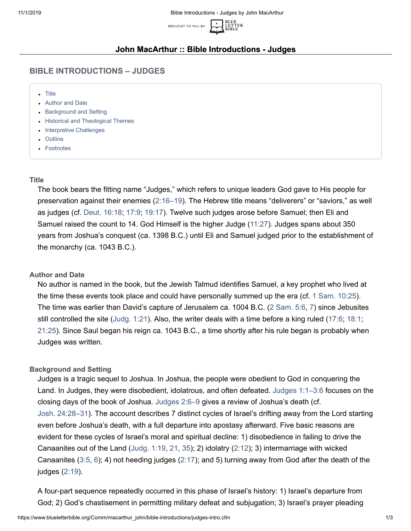

#### **John MacArthur :: Bible Introductions - Judges**

#### **BIBLE INTRODUCTIONS – JUDGES**

- [Title](#page-1-0)
- [Author and Date](#page-1-1)
- [Background and Setting](#page-1-2)
- [Historical and Theological Themes](#page-2-0)
- [Interpretive Challenges](#page-2-1)
- [Outline](#page-2-2)
- [Footnotes](#page-3-0)

#### <span id="page-1-0"></span>**Title**

The book bears the fitting name "Judges," which refers to unique leaders God gave to His people for preservation against their enemies [\(2:16–19](https://www.blueletterbible.org/kjv/judges/2/16-19/s_213016)). The Hebrew title means "deliverers" or "saviors," as well as judges (cf. [Deut. 16:18;](https://www.blueletterbible.org/kjv/deuteronomy/16/18/s_169018) [17:9;](https://www.blueletterbible.org/kjv/deuteronomy/17/9/s_170009) [19:17](https://www.blueletterbible.org/kjv/deuteronomy/19/17/s_172017)). Twelve such judges arose before Samuel; then Eli and Samuel raised the count to 14. God Himself is the higher Judge [\(11:27\)](https://www.blueletterbible.org/kjv/judges/11/27/s_222027). Judges spans about 350 years from Joshua's conquest (ca. 1398 B.C.) until Eli and Samuel judged prior to the establishment of the monarchy (ca. 1043 B.C.).

#### <span id="page-1-1"></span>**Author and Date**

No author is named in the book, but the Jewish Talmud identifies Samuel, a key prophet who lived at the time these events took place and could have personally summed up the era (cf. [1 Sam. 10:25\)](https://www.blueletterbible.org/kjv/1samuel/10/25/s_246025). The time was earlier than David's capture of Jerusalem ca. 1004 B.C. ([2 Sam. 5:6](https://www.blueletterbible.org/kjv/2samuel/5/6/s_272006), [7\)](https://www.blueletterbible.org/kjv/2samuel/5/7/s_272007) since Jebusites still controlled the site [\(Judg. 1:21](https://www.blueletterbible.org/kjv/judges/1/21/s_212021)). Also, the writer deals with a time before a king ruled ([17:6](https://www.blueletterbible.org/kjv/judges/17/6/s_228006); [18:1](https://www.blueletterbible.org/kjv/judges/18/1/s_229001); [21:25\)](https://www.blueletterbible.org/kjv/judges/21/25/s_232025). Since Saul began his reign ca. 1043 B.C., a time shortly after his rule began is probably when Judges was written.

#### <span id="page-1-2"></span>**Background and Setting**

Judges is a tragic sequel to Joshua. In Joshua, the people were obedient to God in conquering the Land. In Judges, they were disobedient, idolatrous, and often defeated. [Judges 1:1–3:6](https://www.blueletterbible.org/kjv/judges/1/1-36/s_212001) focuses on the closing days of the book of Joshua. [Judges 2:6–9](https://www.blueletterbible.org/kjv/judges/2/6-9/s_213006) gives a review of Joshua's death (cf. [Josh. 24:28–31\)](https://www.blueletterbible.org/kjv/joshua/24/28-31/s_211028). The account describes 7 distinct cycles of Israel's drifting away from the Lord starting even before Joshua's death, with a full departure into apostasy afterward. Five basic reasons are evident for these cycles of Israel's moral and spiritual decline: 1) disobedience in failing to drive the Canaanites out of the Land [\(Judg. 1:19,](https://www.blueletterbible.org/kjv/judges/1/19/s_212019) [21](https://www.blueletterbible.org/kjv/judges/1/21/s_212021), [35\)](https://www.blueletterbible.org/kjv/judges/1/35/s_212035); 2) idolatry [\(2:12](https://www.blueletterbible.org/kjv/judges/2/12/s_213012)); 3) intermarriage with wicked Canaanites [\(3:5,](https://www.blueletterbible.org/kjv/judges/3/5/s_214005) [6](https://www.blueletterbible.org/kjv/judges/3/6/s_214006)); 4) not heeding judges ([2:17\)](https://www.blueletterbible.org/kjv/judges/2/17/s_213017); and 5) turning away from God after the death of the judges [\(2:19\)](https://www.blueletterbible.org/kjv/judges/2/19/s_213019).

A four-part sequence repeatedly occurred in this phase of Israel's history: 1) Israel's departure from God; 2) God's chastisement in permitting military defeat and subjugation; 3) Israel's prayer pleading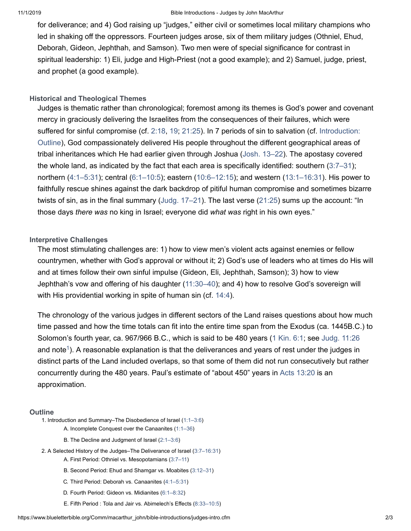#### 11/1/2019 Bible Introductions - Judges by John MacArthur

for deliverance; and 4) God raising up "judges," either civil or sometimes local military champions who led in shaking off the oppressors. Fourteen judges arose, six of them military judges (Othniel, Ehud, Deborah, Gideon, Jephthah, and Samson). Two men were of special significance for contrast in spiritual leadership: 1) Eli, judge and High-Priest (not a good example); and 2) Samuel, judge, priest, and prophet (a good example).

#### <span id="page-2-0"></span>**Historical and Theological Themes**

Judges is thematic rather than chronological; foremost among its themes is God's power and covenant mercy in graciously delivering the Israelites from the consequences of their failures, which were [suffered for sinful compromise \(cf.](#page-2-2) [2:1](https://www.blueletterbible.org/kjv/judges/2/18/s_213018)[8,](#page-2-2) [1](https://www.blueletterbible.org/kjv/judges/2/19/s_213019)[9;](#page-2-2) [21:25](https://www.blueletterbible.org/kjv/judges/21/25/s_232025)[\). In 7 periods of sin to salvation \(cf. Introduction:](#page-2-2) Outline), God compassionately delivered His people throughout the different geographical areas of tribal inheritances which He had earlier given through Joshua [\(Josh. 13–22\)](https://www.blueletterbible.org/kjv/joshua/13/1-33/s_200001). The apostasy covered the whole land, as indicated by the fact that each area is specifically identified: southern [\(3:7–31](https://www.blueletterbible.org/kjv/judges/3/7-31/s_214007)); northern ([4:1–5:31\)](https://www.blueletterbible.org/kjv/judges/4/1-24/s_215001); central [\(6:1–10:5\)](https://www.blueletterbible.org/kjv/judges/6/1-40/s_217001); eastern ([10:6–12:15\)](https://www.blueletterbible.org/kjv/judges/10/6-18/s_221006); and western ([13:1–16:31](https://www.blueletterbible.org/kjv/judges/13/1-25/s_224001)). His power to faithfully rescue shines against the dark backdrop of pitiful human compromise and sometimes bizarre twists of sin, as in the final summary ([Judg. 17–21](https://www.blueletterbible.org/kjv/judges/17/1-13/s_228001)). The last verse ([21:25\)](https://www.blueletterbible.org/kjv/judges/21/25/s_232025) sums up the account: "In those days *there was* no king in Israel; everyone did *what was* right in his own eyes."

#### <span id="page-2-1"></span>**Interpretive Challenges**

The most stimulating challenges are: 1) how to view men's violent acts against enemies or fellow countrymen, whether with God's approval or without it; 2) God's use of leaders who at times do His will and at times follow their own sinful impulse (Gideon, Eli, Jephthah, Samson); 3) how to view Jephthah's vow and offering of his daughter ([11:30–40\)](https://www.blueletterbible.org/kjv/judges/11/30-40/s_222030); and 4) how to resolve God's sovereign will with His providential working in spite of human sin (cf. [14:4](https://www.blueletterbible.org/kjv/judges/14/4/s_225004)).

<span id="page-2-3"></span>The chronology of the various judges in different sectors of the Land raises questions about how much time passed and how the time totals can fit into the entire time span from the Exodus (ca. 1445B.C.) to Solomon's fourth year, ca. 967/966 B.C., which is said to be 480 years ([1 Kin. 6:1;](https://www.blueletterbible.org/kjv/1kings/6/1/s_297001) see [Judg. 11:26](https://www.blueletterbible.org/kjv/judges/11/26/s_222026) and note $^{\rm 1)}$ . A reasonable explanation is that the deliverances and years of rest under the judges in distinct parts of the Land included overlaps, so that some of them did not run consecutively but rather concurrently during the 480 years. Paul's estimate of "about 450" years in [Acts 13:20](https://www.blueletterbible.org/kjv/acts/13/20/s_1031020) is an approximation.

#### <span id="page-2-2"></span>**Outline**

1. Introduction and Summary–The Disobedience of Israel ([1:1–3:6](https://www.blueletterbible.org/kjv/judges/1/1-36/s_212001))

- A. Incomplete Conquest over the Canaanites [\(1:1–36](https://www.blueletterbible.org/kjv/judges/1/1-36/s_212001))
- B. The Decline and Judgment of Israel [\(2:1–3:6\)](https://www.blueletterbible.org/kjv/judges/2/1-23/s_213001)
- 2. A Selected History of the Judges–The Deliverance of Israel [\(3:7–16:31\)](https://www.blueletterbible.org/kjv/judges/3/7-31/s_214007)
	- A. First Period: Othniel vs. Mesopotamians ([3:7–11\)](https://www.blueletterbible.org/kjv/judges/3/7-11/s_214007)
	- B. Second Period: Ehud and Shamgar vs. Moabites [\(3:12–31\)](https://www.blueletterbible.org/kjv/judges/3/12-31/s_214012)
	- C. Third Period: Deborah vs. Canaanites [\(4:1–5:31\)](https://www.blueletterbible.org/kjv/judges/4/1-24/s_215001)
	- D. Fourth Period: Gideon vs. Midianites ([6:1–8:32\)](https://www.blueletterbible.org/kjv/judges/6/1-40/s_217001)
	- E. Fifth Period : Tola and Jair vs. Abimelech's Effects ([8:33–10:5\)](https://www.blueletterbible.org/kjv/judges/8/33-35/s_219033)